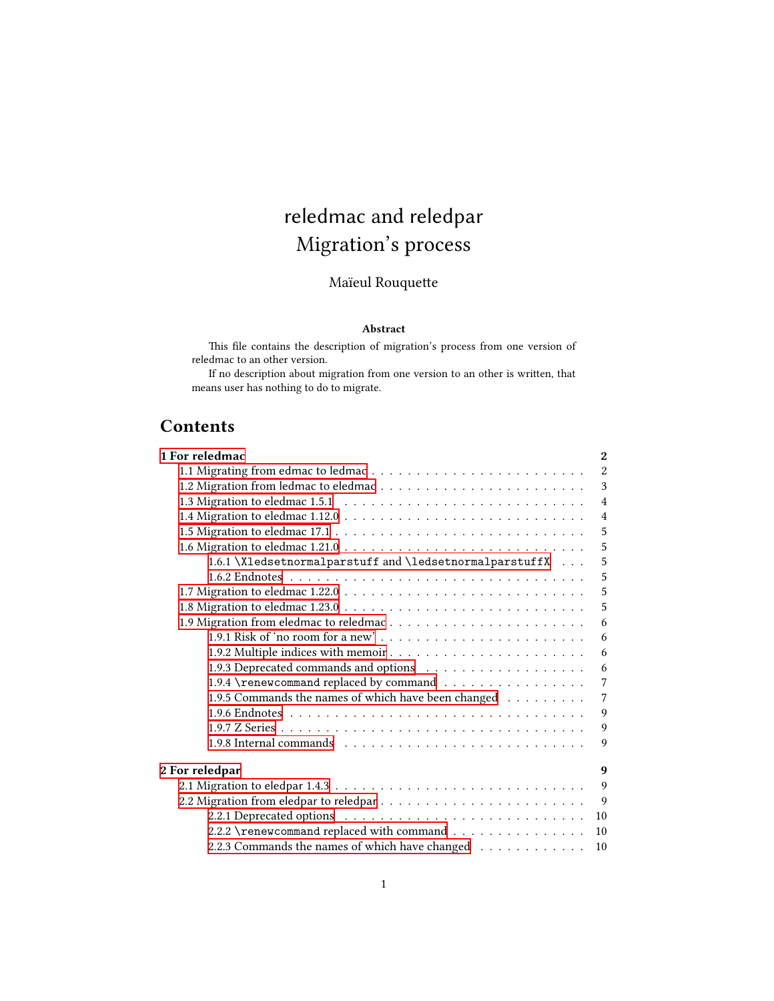# reledmac and reledpar Migration's process

# Maïeul Rouquette

#### **Abstract**

This file contains the description of migration's process from one version of reledmac to an other version.

If no description about migration from one version to an other is written, that means user has nothing to do to migrate.

# **Contents**

| 1 For reledmac<br>$\mathbf{2}$                               |
|--------------------------------------------------------------|
| $\overline{2}$                                               |
| 3                                                            |
| $\overline{4}$                                               |
| $\overline{4}$                                               |
| 5                                                            |
| 5                                                            |
| 1.6.1 \Xledsetnormalparstuff and \ledsetnormalparstuffX<br>5 |
| 5                                                            |
| 5                                                            |
| 5                                                            |
| 6                                                            |
| 6                                                            |
| 6                                                            |
| 6                                                            |
| 1.9.4 \renewcommand replaced by command<br>$\overline{7}$    |
| 1.9.5 Commands the names of which have been changed<br>7     |
| 9                                                            |
| 9                                                            |
| 9                                                            |
| 2 For reledpar<br>9                                          |
| $\mathbf{Q}$                                                 |
| $\overline{9}$                                               |
| 10                                                           |
| 2.2.2 \renewcommand replaced with command<br>10              |
| 2.2.3 Commands the names of which have changed<br>10         |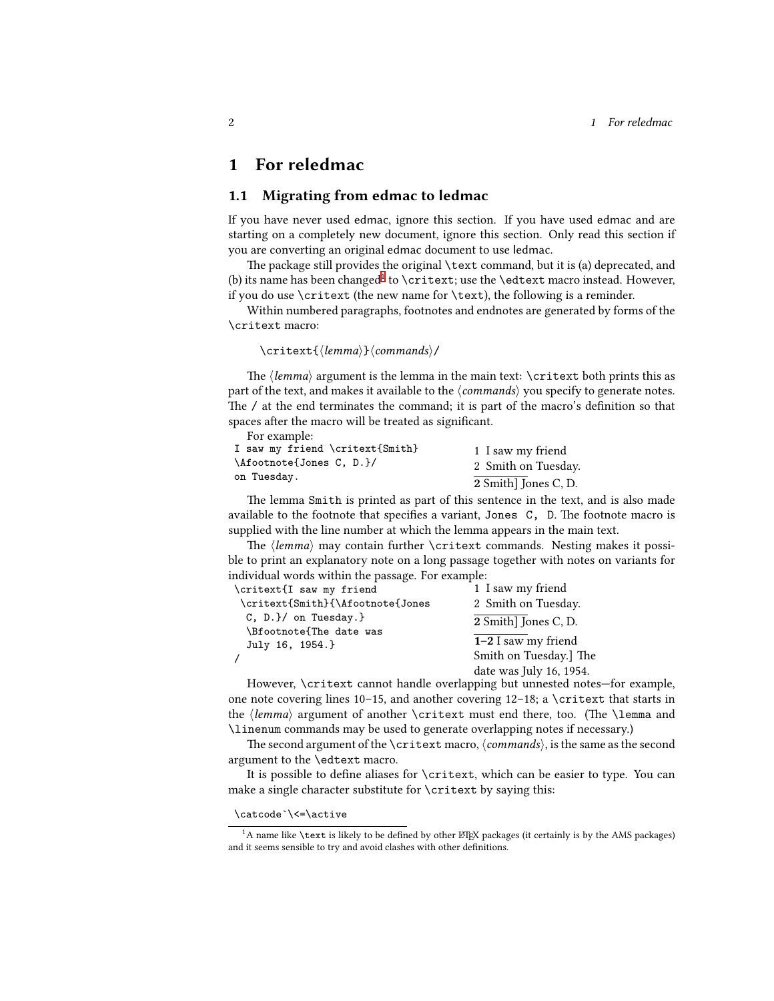### <span id="page-1-0"></span>**1 For reledmac**

#### <span id="page-1-1"></span>**1.1 Migrating from edmac to ledmac**

If you have never used edmac, ignore this section. If you have used edmac and are starting on a completely new document, ignore this section. Only read this section if you are converting an original edmac document to use ledmac.

The package still provides the original \text command, but it is (a) deprecated, and (b) its name has been changed<sup>[1](#page-1-2)</sup> to \critext; use the \edtext macro instead. However, if you do use  $\c{critext}$  (the new name for  $\text{text}}$ ), the following is a reminder.

Within numbered paragraphs, footnotes and endnotes are generated by forms of the \critext macro:

#### \critext{*⟨lemma⟩*}*⟨commands⟩*/

The *⟨lemma⟩* argument is the lemma in the main text: \critext both prints this as part of the text, and makes it available to the *⟨commands⟩* you specify to generate notes. The / at the end terminates the command; it is part of the macro's definition so that spaces after the macro will be treated as significant.

For example:

| I saw my friend \critext{Smith}<br>\Afootnote{Jones C, D.}/<br>on Tuesday. | 1 I saw my friend    |
|----------------------------------------------------------------------------|----------------------|
|                                                                            | 2 Smith on Tuesday.  |
|                                                                            | 2 Smith] Jones C, D. |

The lemma Smith is printed as part of this sentence in the text, and is also made available to the footnote that specifies a variant, Jones C, D. The footnote macro is supplied with the line number at which the lemma appears in the main text.

The *⟨lemma⟩* may contain further \critext commands. Nesting makes it possible to print an explanatory note on a long passage together with notes on variants for individual words within the passage. For example:

| \critext{I saw my friend                                                    | 1 I saw my friend                                                          |
|-----------------------------------------------------------------------------|----------------------------------------------------------------------------|
| \critext{Smith}{\Afootnote{Jones                                            | 2 Smith on Tuesday.                                                        |
| $C, D.$ $\}$ on Tuesday. $\}$<br>\Bfootnote{The date was<br>July 16, 1954.} | 2 Smith] Jones C, D.                                                       |
|                                                                             | $1-2$ I saw my friend<br>Smith on Tuesday.] The<br>date was July 16, 1954. |

However, \critext cannot handle overlapping but unnested notes—for example, one note covering lines 10–15, and another covering  $12-18$ ; a \critext that starts in the *⟨lemma⟩* argument of another \critext must end there, too. (The \lemma and \linenum commands may be used to generate overlapping notes if necessary.)

The second argument of the \critext macro,*⟨commands⟩*, is the same as the second argument to the \edtext macro.

It is possible to define aliases for \critext, which can be easier to type. You can make a single character substitute for \critext by saying this:

\catcode`\<=\active

<span id="page-1-2"></span><sup>&</sup>lt;sup>1</sup>A name like \text is likely to be defined by other  $\mathbb{E}$ T<sub>EX</sub> packages (it certainly is by the AMS packages) and it seems sensible to try and avoid clashes with other definitions.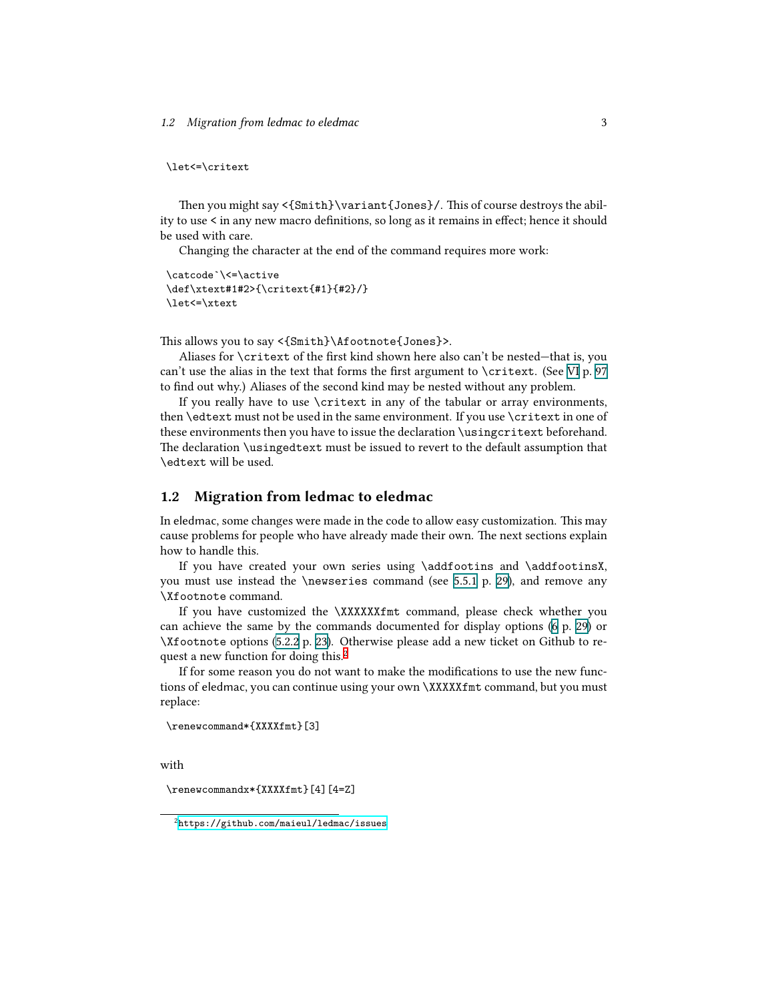\let<=\critext

Then you might say <{Smith}\variant{Jones}/. This of course destroys the ability to use < in any new macro definitions, so long as it remains in effect; hence it should be used with care.

Changing the character at the end of the command requires more work:

```
\catcode`\<=\active
\def\xtext#1#2>{\critext{#1}{#2}/}
\let<=\xtext
```
This allows you to say <{Smith}\Afootnote{Jones}>.

Aliases for \critext of the first kind shown here also can't be nested—that is, you can't use the alias in the text that forms the first argument to \critext. (See VI p. 97 to find out why.) Aliases of the second kind may be nested without any problem.

If you really have to use \critext in any of the tabular or array environments, then \edtext must not be used in the same environment. If you use \critext in one of these environments then you have to issue the declaration \usingcritext beforehand. The declaration \usingedtext must be issued to revert to the default assumption that \edtext will be used.

#### <span id="page-2-0"></span>**1.2 Migration from ledmac to eledmac**

In eledmac, some changes were made in the code to allow easy customization. This may cause problems for people who have already made their own. The next sections explain how to handle this.

If you have created your own series using \addfootins and \addfootinsX, you must use instead the \newseries command (see 5.5.1 p. 29), and remove any \Xfootnote command.

If you have customized the \XXXXXXfmt command, please check whether you can achieve the same by the commands documented for display options (6 p. 29) or \Xfootnote options (5.2.2 p. 23). Otherwise please add a new ticket on Github to re-quest a new function for doing this.<sup>[2](#page-2-1)</sup>

If for some reason you do not want to make the modifications to use the new functions of eledmac, you can continue using your own \XXXXXfmt command, but you must replace:

```
\renewcommand*{XXXXfmt}[3]
```
with

\renewcommandx\*{XXXXfmt}[4][4=Z]

<span id="page-2-1"></span><sup>2</sup><https://github.com/maieul/ledmac/issues>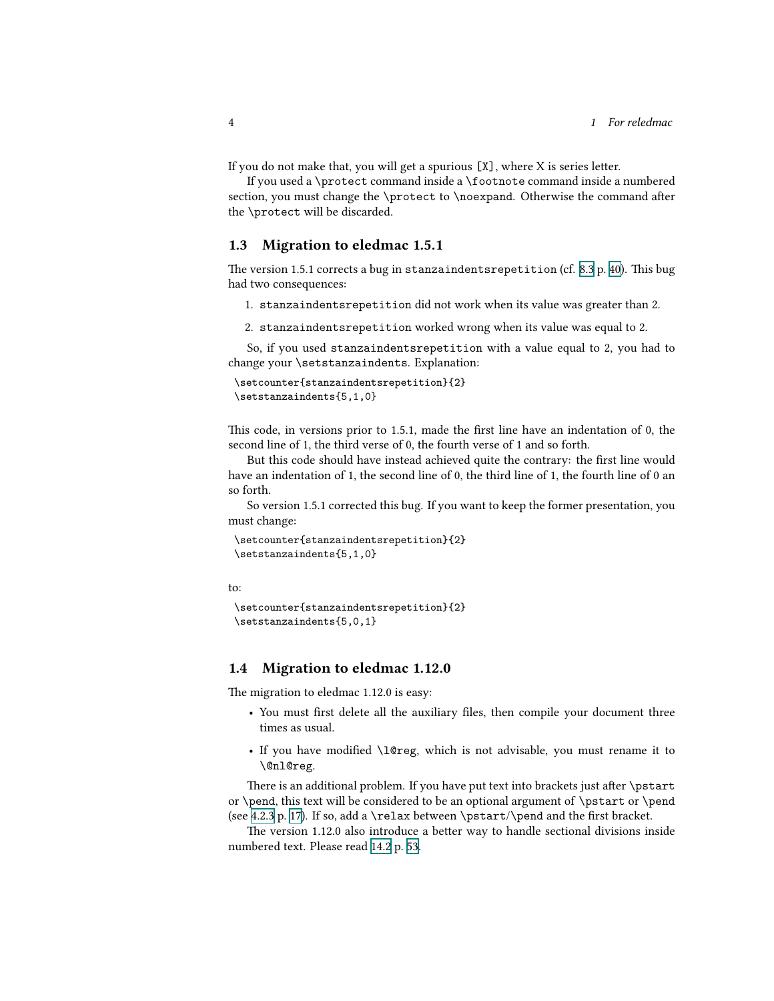If you do not make that, you will get a spurious [X], where X is series letter.

If you used a \protect command inside a \footnote command inside a numbered section, you must change the \protect to \noexpand. Otherwise the command after the \protect will be discarded.

#### <span id="page-3-0"></span>**1.3 Migration to eledmac 1.5.1**

The version 1.5.1 corrects a bug in stanzaindentsrepetition (cf. 8.3 p. 40). This bug had two consequences:

- 1. stanzaindentsrepetition did not work when its value was greater than 2.
- 2. stanzaindentsrepetition worked wrong when its value was equal to 2.

So, if you used stanzaindentsrepetition with a value equal to 2, you had to change your \setstanzaindents. Explanation:

```
\setcounter{stanzaindentsrepetition}{2}
\setstanzaindents{5,1,0}
```
This code, in versions prior to 1.5.1, made the first line have an indentation of 0, the second line of 1, the third verse of 0, the fourth verse of 1 and so forth.

But this code should have instead achieved quite the contrary: the first line would have an indentation of 1, the second line of 0, the third line of 1, the fourth line of 0 an so forth.

So version 1.5.1 corrected this bug. If you want to keep the former presentation, you must change:

```
\setcounter{stanzaindentsrepetition}{2}
\setstanzaindents{5,1,0}
```
to:

```
\setcounter{stanzaindentsrepetition}{2}
\setstanzaindents{5,0,1}
```
### <span id="page-3-1"></span>**1.4 Migration to eledmac 1.12.0**

The migration to eledmac 1.12.0 is easy:

- You must first delete all the auxiliary files, then compile your document three times as usual.
- If you have modified \l@reg, which is not advisable, you must rename it to \@nl@reg.

There is an additional problem. If you have put text into brackets just after \pstart or \pend, this text will be considered to be an optional argument of \pstart or \pend (see 4.2.3 p. 17). If so, add a \relax between \pstart/\pend and the first bracket.

The version 1.12.0 also introduce a better way to handle sectional divisions inside numbered text. Please read 14.2 p. 53.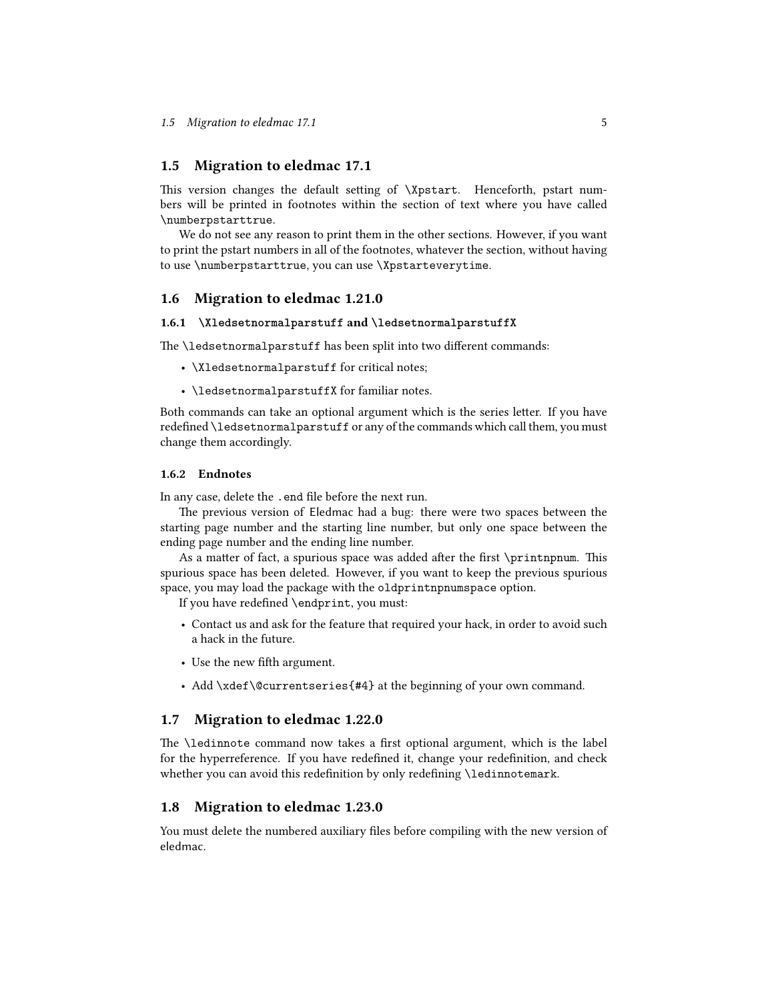#### <span id="page-4-0"></span>**1.5 Migration to eledmac 17.1**

This version changes the default setting of \Xpstart. Henceforth, pstart numbers will be printed in footnotes within the section of text where you have called \numberpstarttrue.

We do not see any reason to print them in the other sections. However, if you want to print the pstart numbers in all of the footnotes, whatever the section, without having to use \numberpstarttrue, you can use \Xpstarteverytime.

#### <span id="page-4-1"></span>**1.6 Migration to eledmac 1.21.0**

#### <span id="page-4-2"></span>**1.6.1 \Xledsetnormalparstuff and \ledsetnormalparstuffX**

The \ledsetnormalparstuff has been split into two different commands:

- \Xledsetnormalparstuff for critical notes;
- \ledsetnormalparstuffX for familiar notes.

Both commands can take an optional argument which is the series letter. If you have redefined \ledsetnormalparstuff or any of the commands which call them, you must change them accordingly.

#### <span id="page-4-3"></span>**1.6.2 Endnotes**

In any case, delete the .end file before the next run.

The previous version of Eledmac had a bug: there were two spaces between the starting page number and the starting line number, but only one space between the ending page number and the ending line number.

As a matter of fact, a spurious space was added after the first \printnpnum. This spurious space has been deleted. However, if you want to keep the previous spurious space, you may load the package with the oldprintnpnumspace option.

If you have redefined \endprint, you must:

- Contact us and ask for the feature that required your hack, in order to avoid such a hack in the future.
- Use the new fifth argument.
- Add \xdef\@currentseries{#4} at the beginning of your own command.

#### <span id="page-4-4"></span>**1.7 Migration to eledmac 1.22.0**

The \ledinnote command now takes a first optional argument, which is the label for the hyperreference. If you have redefined it, change your redefinition, and check whether you can avoid this redefinition by only redefining \ledinnotemark.

#### <span id="page-4-5"></span>**1.8 Migration to eledmac 1.23.0**

You must delete the numbered auxiliary files before compiling with the new version of eledmac.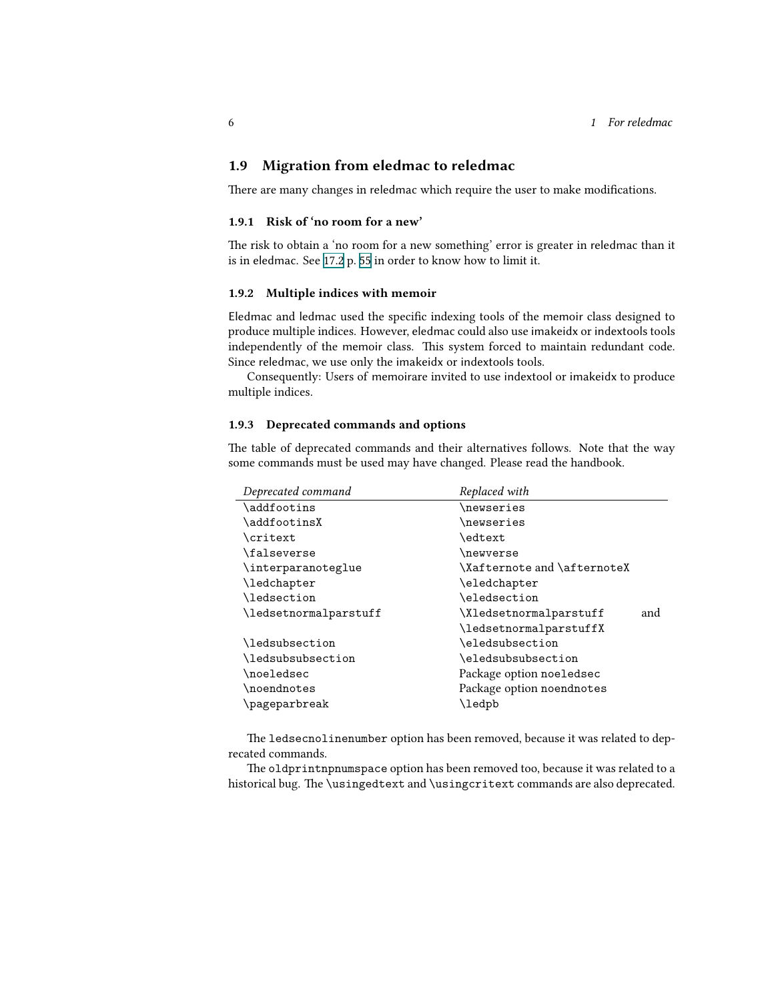### <span id="page-5-0"></span>**1.9 Migration from eledmac to reledmac**

There are many changes in reledmac which require the user to make modifications.

#### <span id="page-5-1"></span>**1.9.1 Risk of 'no room for a new'**

The risk to obtain a 'no room for a new something' error is greater in reledmac than it is in eledmac. See 17.2 p. 55 in order to know how to limit it.

#### <span id="page-5-2"></span>**1.9.2 Multiple indices with memoir**

Eledmac and ledmac used the specific indexing tools of the memoir class designed to produce multiple indices. However, eledmac could also use imakeidx or indextools tools independently of the memoir class. This system forced to maintain redundant code. Since reledmac, we use only the imakeidx or indextools tools.

Consequently: Users of memoirare invited to use indextool or imakeidx to produce multiple indices.

#### <span id="page-5-3"></span>**1.9.3 Deprecated commands and options**

The table of deprecated commands and their alternatives follows. Note that the way some commands must be used may have changed. Please read the handbook.

| Replaced with                 |
|-------------------------------|
| \newseries                    |
| \newseries                    |
| \edtext                       |
| \newverse                     |
| \Xafternote and \afternoteX   |
| \eledchapter                  |
| \eledsection                  |
| \Xledsetnormalparstuff<br>and |
| \ledsetnormalparstuffX        |
| \eledsubsection               |
| \eledsubsubsection            |
| Package option noeledsec      |
| Package option noendnotes     |
| \ledpb                        |
|                               |

The ledsecnolinenumber option has been removed, because it was related to deprecated commands.

The oldprintnpnumspace option has been removed too, because it was related to a historical bug. The \usingedtext and \usingcritext commands are also deprecated.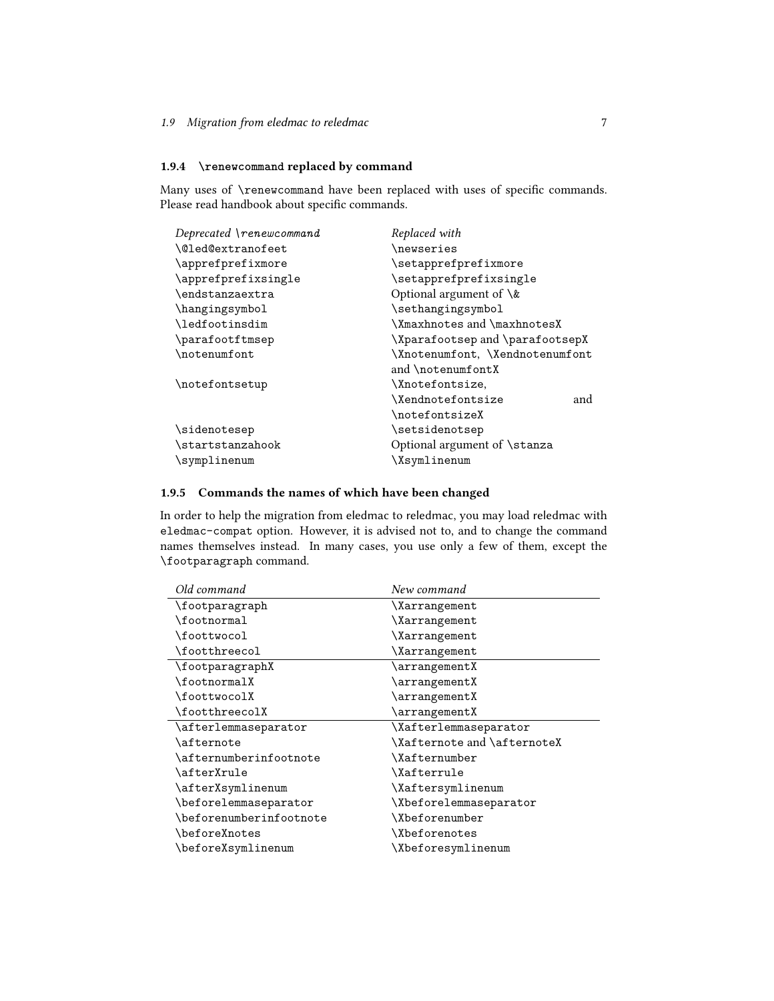#### <span id="page-6-0"></span>**1.9.4 \renewcommand replaced by command**

Many uses of \renewcommand have been replaced with uses of specific commands. Please read handbook about specific commands.

| Deprecated \renewcommand             | Replaced with                                        |
|--------------------------------------|------------------------------------------------------|
| \@led@extranofeet                    | \newseries                                           |
| \apprefprefixmore                    | \setapprefprefixmore                                 |
| \apprefprefixsingle                  | \setapprefprefixsingle                               |
| <i><u><b>Nendstanzaextra</b></u></i> | Optional argument of $\&$                            |
| \hangingsymbol                       | \sethangingsymbol                                    |
| \ledfootinsdim                       | \Xmaxhnotes and \maxhnotesX                          |
| \parafootftmsep                      | \Xparafootsep and \parafootsepX                      |
| \notenumfont                         | \Xnotenumfont, \Xendnotenumfont<br>and \notenumfontX |
| \notefontsetup                       | \Xnotefontsize,                                      |
|                                      | \Xendnotefontsize<br>and                             |
|                                      | \notefontsizeX                                       |
| \sidenotesep                         | \setsidenotsep                                       |
| \startstanzahook                     | Optional argument of \stanza                         |
| \symplinenum                         | \Xsymlinenum                                         |

#### <span id="page-6-1"></span>**1.9.5 Commands the names of which have been changed**

In order to help the migration from eledmac to reledmac, you may load reledmac with eledmac-compat option. However, it is advised not to, and to change the command names themselves instead. In many cases, you use only a few of them, except the \footparagraph command.

| Old command             | New command                 |
|-------------------------|-----------------------------|
| \footparagraph          | \Xarrangement               |
| \footnormal             | <i><b>\Xarrangement</b></i> |
| \foottwocol             | <i><b>\Xarrangement</b></i> |
| \footthreecol           | <i>Xarrangement</i>         |
| \footparagraphX         | $\arrangement X$            |
| \footnormalX            | \arrangementX               |
| \foottwocolX            | \arrangementX               |
| \footthreecolX          | $\arrangement X$            |
| \afterlemmaseparator    | \Xafterlemmaseparator       |
| <b>\afternote</b>       | \Xafternote and \afternoteX |
| \afternumberinfootnote  | \Xafternumber               |
| \afterXrule             | \Xafterrule                 |
| \afterXsymlinenum       | \Xaftersymlinenum           |
| \beforelemmaseparator   | \Xbeforelemmaseparator      |
| \beforenumberinfootnote | \Xbeforenumber              |
| \beforeXnotes           | \Xbeforenotes               |
| \beforeXsymlinenum      | \Xbeforesymlinenum          |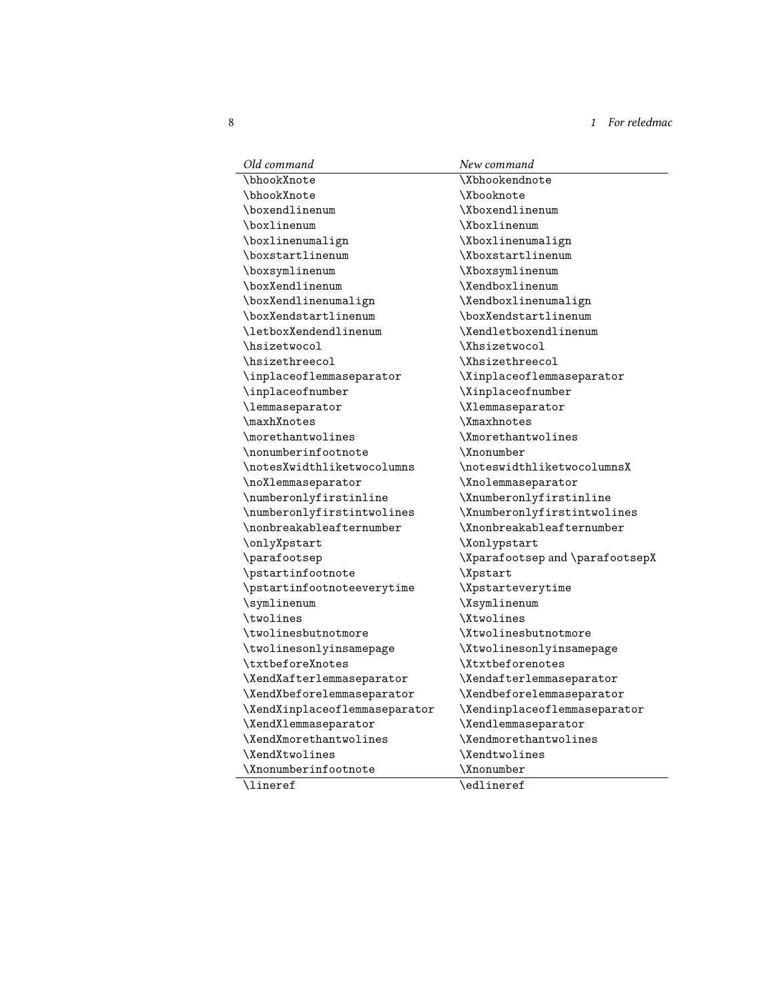8 *1 For* reledmac

| Old command                   | New command                     |
|-------------------------------|---------------------------------|
| \bhookXnote                   | <b>\Xbhookendnote</b>           |
| \bhookXnote                   | <b>\Xbooknote</b>               |
| \boxendlinenum                | \Xboxendlinenum                 |
| \boxlinenum                   | \Xboxlinenum                    |
| \boxlinenumalign              | \Xboxlinenumalign               |
| \boxstartlinenum              | \Xboxstartlinenum               |
| \boxsymlinenum                | \Xboxsymlinenum                 |
| \boxXendlinenum               | \Xendboxlinenum                 |
| \boxXendlinenumalign          | \Xendboxlinenumalign            |
| \boxXendstartlinenum          | \boxXendstartlinenum            |
| \letboxXendendlinenum         | \Xendletboxendlinenum           |
| \hsizetwocol                  | \Xhsizetwocol                   |
| \hsizethreecol                | \Xhsizethreecol                 |
| \inplaceoflemmaseparator      | \Xinplaceoflemmaseparator       |
| \inplaceofnumber              | \Xinplaceofnumber               |
| \lemmaseparator               | \Xlemmaseparator                |
| \maxhXnotes                   | <b>\Xmaxhnotes</b>              |
| \morethantwolines             | \Xmorethantwolines              |
| \nonumberinfootnote           | \Xnonumber                      |
| \notesXwidthliketwocolumns    | \noteswidthliketwocolumnsX      |
| \noXlemmaseparator            | \Xnolemmaseparator              |
| \numberonlyfirstinline        | \Xnumberonlyfirstinline         |
| \numberonlyfirstintwolines    | \Xnumberonlyfirstintwolines     |
| \nonbreakableafternumber      | \Xnonbreakableafternumber       |
| \onlyXpstart                  | \Xonlypstart                    |
| \parafootsep                  | \Xparafootsep and \parafootsepX |
| \pstartinfootnote             | \Xpstart                        |
| \pstartinfootnoteeverytime    | <i><b>\Xpstarteverytime</b></i> |
| \symlinenum                   | \Xsymlinenum                    |
| \twolines                     | <b>\Xtwolines</b>               |
| \twolinesbutnotmore           | \Xtwolinesbutnotmore            |
| \twolinesonlyinsamepage       | \Xtwolinesonlyinsamepage        |
| \txtbeforeXnotes              | <i><b>\Xtxtbeforenotes</b></i>  |
| \XendXafterlemmaseparator     | \Xendafterlemmaseparator        |
| \XendXbeforelemmaseparator    | \Xendbeforelemmaseparator       |
| \XendXinplaceoflemmaseparator | \Xendinplaceoflemmaseparator    |
| \XendXlemmaseparator          | \Xendlemmaseparator             |
| \XendXmorethantwolines        | \Xendmorethantwolines           |
| \XendXtwolines                | <i><b>\Xendtwolines</b></i>     |
| \Xnonumberinfootnote          | \Xnonumber                      |
| <b>\lineref</b>               | $\delta$                        |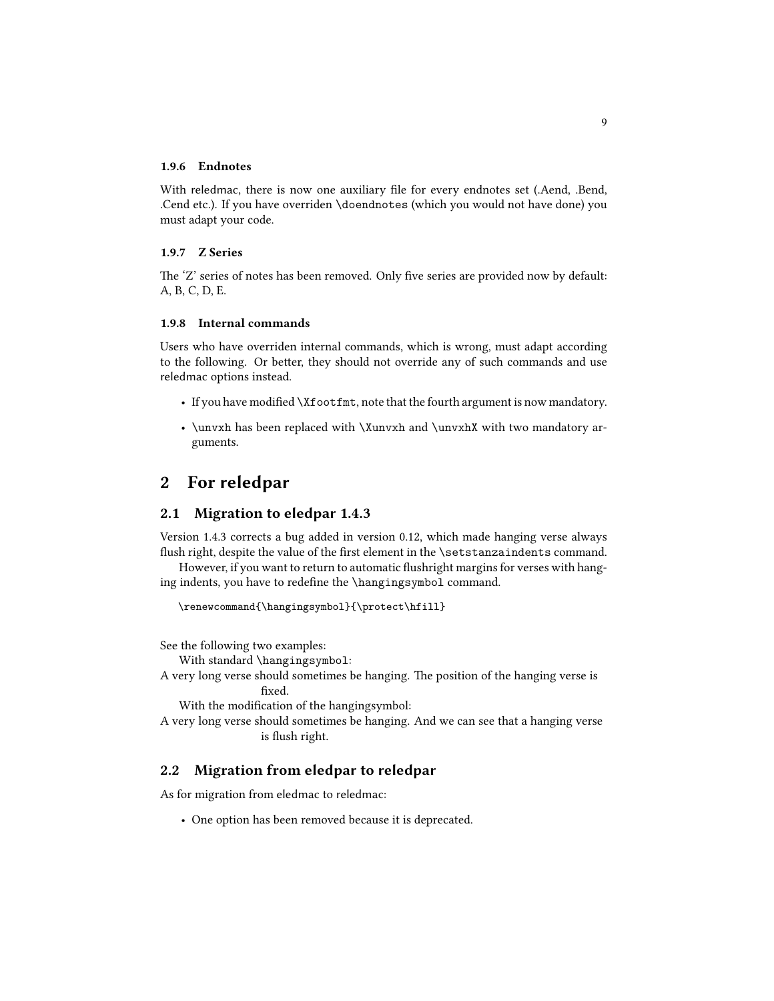#### <span id="page-8-0"></span>**1.9.6 Endnotes**

With reledmac, there is now one auxiliary file for every endnotes set (.Aend, .Bend, .Cend etc.). If you have overriden \doendnotes (which you would not have done) you must adapt your code.

#### <span id="page-8-1"></span>**1.9.7 Z Series**

The 'Z' series of notes has been removed. Only five series are provided now by default: A, B, C, D, E.

#### <span id="page-8-2"></span>**1.9.8 Internal commands**

Users who have overriden internal commands, which is wrong, must adapt according to the following. Or better, they should not override any of such commands and use reledmac options instead.

- If you have modified \Xfootfmt, note that the fourth argument is now mandatory.
- \unvxh has been replaced with \Xunvxh and \unvxhX with two mandatory arguments.

## <span id="page-8-3"></span>**2 For reledpar**

#### <span id="page-8-4"></span>**2.1 Migration to eledpar 1.4.3**

Version 1.4.3 corrects a bug added in version 0.12, which made hanging verse always flush right, despite the value of the first element in the \setstanzaindents command.

However, if you want to return to automatic flushright margins for verses with hanging indents, you have to redefine the \hangingsymbol command.

\renewcommand{\hangingsymbol}{\protect\hfill}

See the following two examples:

With standard \hangingsymbol:

A very long verse should sometimes be hanging. The position of the hanging verse is fixed.

With the modification of the hangingsymbol:

A very long verse should sometimes be hanging. And we can see that a hanging verse is flush right.

#### <span id="page-8-5"></span>**2.2 Migration from eledpar to reledpar**

As for migration from eledmac to reledmac:

• One option has been removed because it is deprecated.